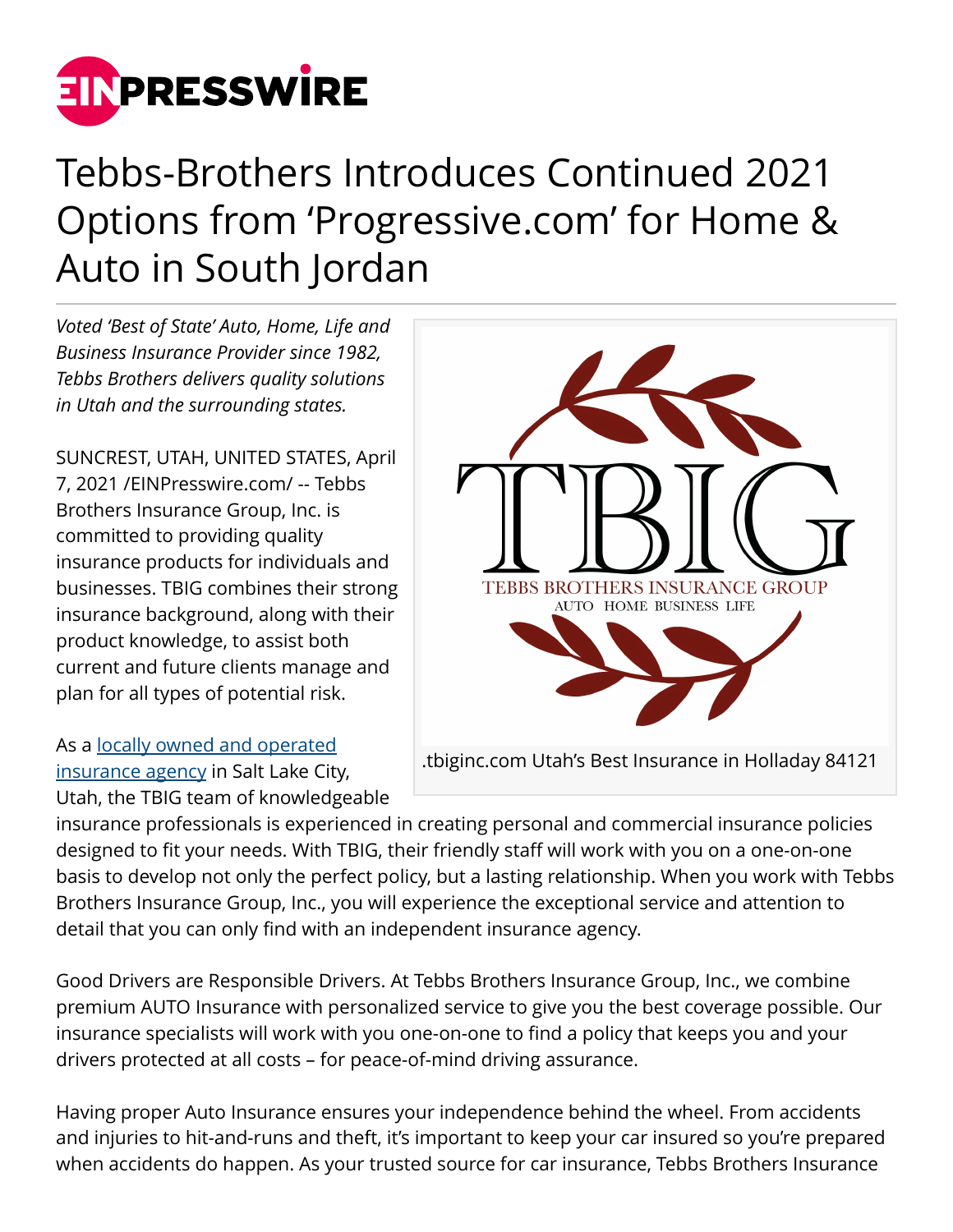

## Tebbs-Brothers Introduces Continued 2021 Options from 'Progressive.com' for Home & Auto in South Jordan

*Voted 'Best of State' Auto, Home, Life and Business Insurance Provider since 1982, Tebbs Brothers delivers quality solutions in Utah and the surrounding states.*

SUNCREST, UTAH, UNITED STATES, April 7, 2021 /[EINPresswire.com/](http://www.einpresswire.com) -- Tebbs Brothers Insurance Group, Inc. is committed to providing quality insurance products for individuals and businesses. TBIG combines their strong insurance background, along with their product knowledge, to assist both current and future clients manage and plan for all types of potential risk.

As a [locally owned and operated](https://www.progressive.com/agent/local-agent/utah/salt-lake-city/tebbs-brothers-insurance-group-inc/) [insurance agency](https://www.progressive.com/agent/local-agent/utah/salt-lake-city/tebbs-brothers-insurance-group-inc/) in Salt Lake City, Utah, the TBIG team of knowledgeable



insurance professionals is experienced in creating personal and commercial insurance policies designed to fit your needs. With TBIG, their friendly staff will work with you on a one-on-one basis to develop not only the perfect policy, but a lasting relationship. When you work with Tebbs Brothers Insurance Group, Inc., you will experience the exceptional service and attention to detail that you can only find with an independent insurance agency.

Good Drivers are Responsible Drivers. At Tebbs Brothers Insurance Group, Inc., we combine premium AUTO Insurance with personalized service to give you the best coverage possible. Our insurance specialists will work with you one-on-one to find a policy that keeps you and your drivers protected at all costs – for peace-of-mind driving assurance.

Having proper Auto Insurance ensures your independence behind the wheel. From accidents and injuries to hit-and-runs and theft, it's important to keep your car insured so you're prepared when accidents do happen. As your trusted source for car insurance, Tebbs Brothers Insurance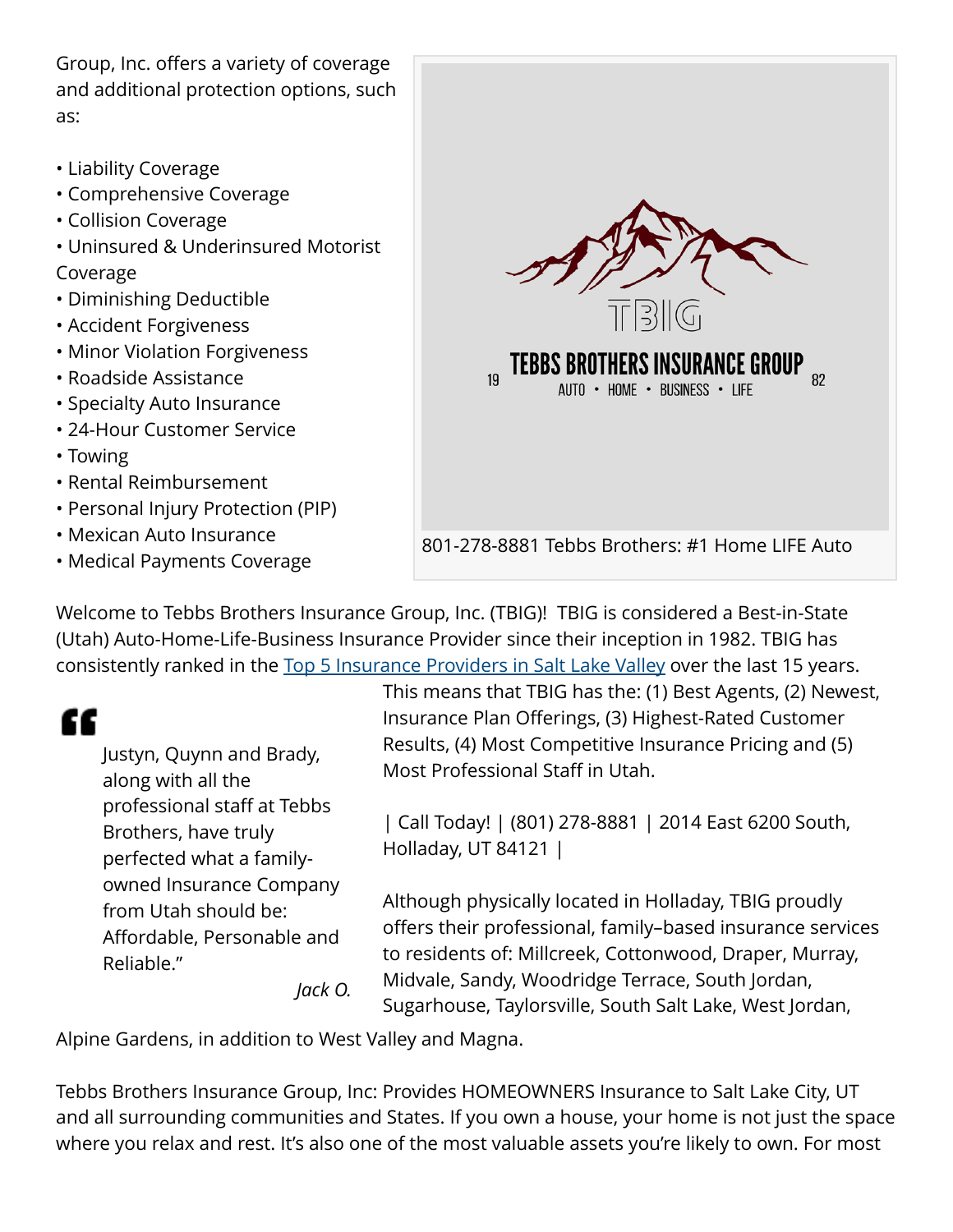Group, Inc. offers a variety of coverage and additional protection options, such as:

- Liability Coverage
- Comprehensive Coverage
- Collision Coverage
- Uninsured & Underinsured Motorist Coverage
- Diminishing Deductible
- Accident Forgiveness
- Minor Violation Forgiveness
- Roadside Assistance
- Specialty Auto Insurance
- 24-Hour Customer Service
- Towing
- Rental Reimbursement
- Personal Injury Protection (PIP)
- Mexican Auto Insurance
- Medical Payments Coverage



Welcome to Tebbs Brothers Insurance Group, Inc. (TBIG)! TBIG is considered a Best-in-State (Utah) Auto-Home-Life-Business Insurance Provider since their inception in 1982. TBIG has consistently ranked in the [Top 5 Insurance Providers in Salt Lake Valley](https://www.bearrivermutual.com/agency/tebbs-brothers-insurance/) over the last 15 years.

## ££

Justyn, Quynn and Brady, along with all the professional staff at Tebbs Brothers, have truly perfected what a familyowned Insurance Company from Utah should be: Affordable, Personable and Reliable." *Jack O.* This means that TBIG has the: (1) Best Agents, (2) Newest, Insurance Plan Offerings, (3) Highest-Rated Customer Results, (4) Most Competitive Insurance Pricing and (5) Most Professional Staff in Utah.

| Call Today! | (801) 278-8881 | 2014 East 6200 South, Holladay, UT 84121 |

Although physically located in Holladay, TBIG proudly offers their professional, family–based insurance services to residents of: Millcreek, Cottonwood, Draper, Murray, Midvale, Sandy, Woodridge Terrace, South Jordan, Sugarhouse, Taylorsville, South Salt Lake, West Jordan,

Alpine Gardens, in addition to West Valley and Magna.

Tebbs Brothers Insurance Group, Inc: Provides HOMEOWNERS Insurance to Salt Lake City, UT and all surrounding communities and States. If you own a house, your home is not just the space where you relax and rest. It's also one of the most valuable assets you're likely to own. For most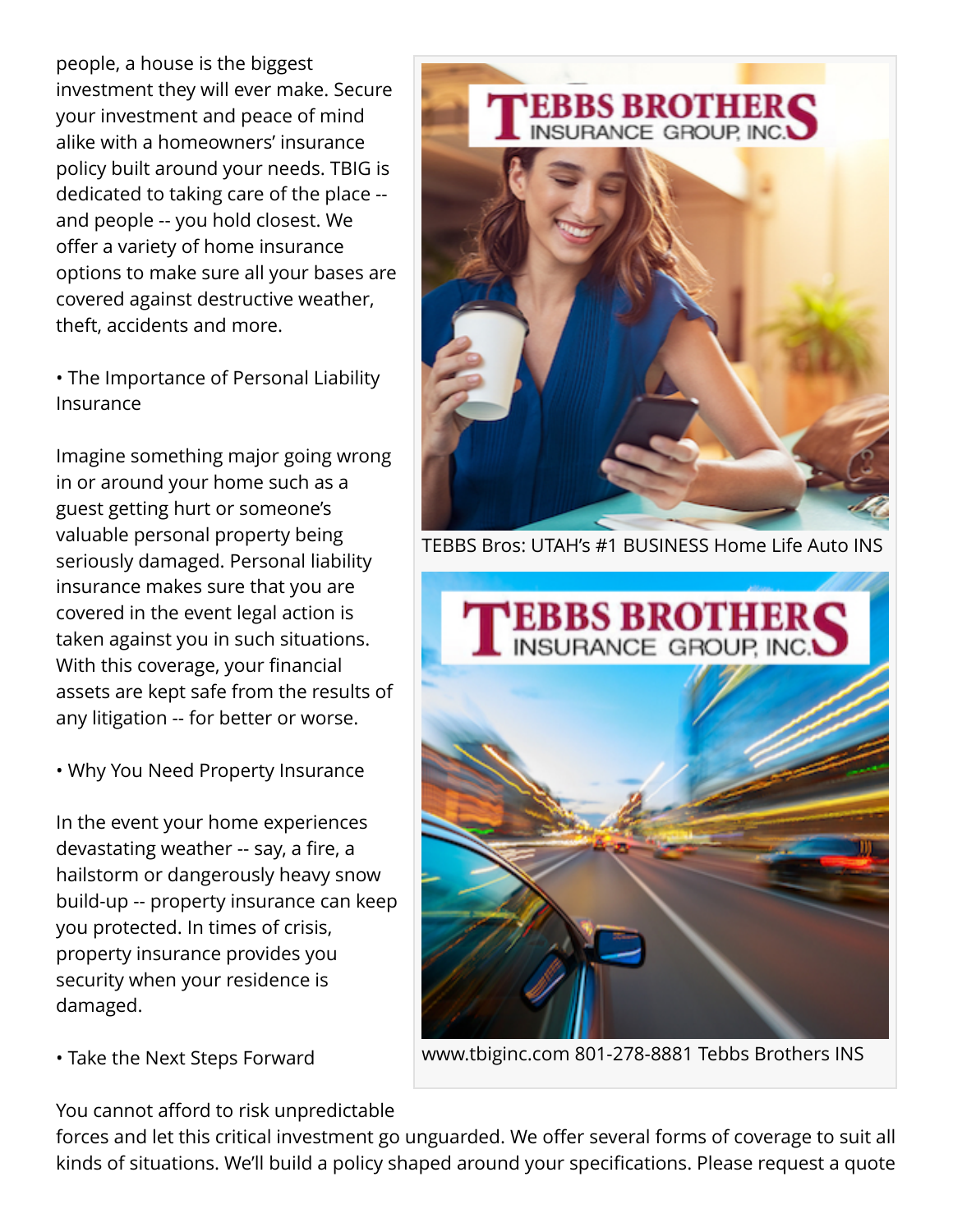people, a house is the biggest investment they will ever make. Secure your investment and peace of mind alike with a homeowners' insurance policy built around your needs. TBIG is dedicated to taking care of the place - and people -- you hold closest. We offer a variety of home insurance options to make sure all your bases are covered against destructive weather, theft, accidents and more.

• The Importance of Personal Liability Insurance

Imagine something major going wrong in or around your home such as a guest getting hurt or someone's valuable personal property being seriously damaged. Personal liability insurance makes sure that you are covered in the event legal action is taken against you in such situations. With this coverage, your financial assets are kept safe from the results of any litigation -- for better or worse.

• Why You Need Property Insurance

In the event your home experiences devastating weather -- say, a fire, a hailstorm or dangerously heavy snow build-up -- property insurance can keep you protected. In times of crisis, property insurance provides you security when your residence is damaged.

• Take the Next Steps Forward

You cannot afford to risk unpredictable

TEBBS BROTHER



TEBBS Bros: UTAH's #1 BUSINESS Home Life Auto INS



www.tbiginc.com 801-278-8881 Tebbs Brothers INS

forces and let this critical investment go unguarded. We offer several forms of coverage to suit all kinds of situations. We'll build a policy shaped around your specifications. Please request a quote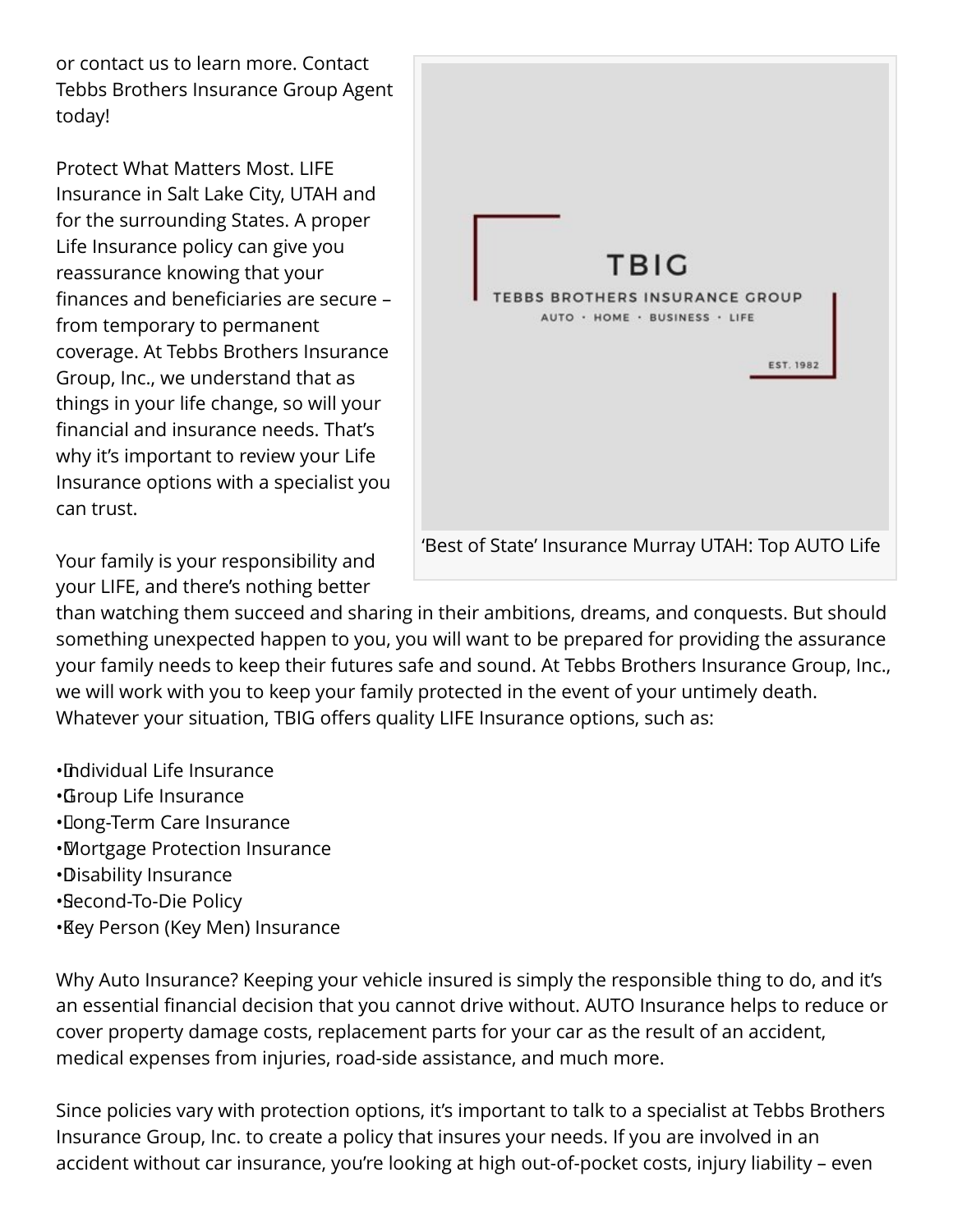or contact us to learn more. Contact Tebbs Brothers Insurance Group Agent today!

Protect What Matters Most. LIFE Insurance in Salt Lake City, UTAH and for the surrounding States. A proper Life Insurance policy can give you reassurance knowing that your finances and beneficiaries are secure – from temporary to permanent coverage. At Tebbs Brothers Insurance Group, Inc., we understand that as things in your life change, so will your financial and insurance needs. That's why it's important to review your Life Insurance options with a specialist you can trust.

TRIG **TEBBS BROTHERS INSURANCE GROUP** AUTO · HOME · BUSINESS · LIFE EST. 1982 'Best of State' Insurance Murray UTAH: Top AUTO Life

Your family is your responsibility and your LIFE, and there's nothing better

than watching them succeed and sharing in their ambitions, dreams, and conquests. But should something unexpected happen to you, you will want to be prepared for providing the assurance your family needs to keep their futures safe and sound. At Tebbs Brothers Insurance Group, Inc., we will work with you to keep your family protected in the event of your untimely death. Whatever your situation, TBIG offers quality LIFE Insurance options, such as:

- • Individual Life Insurance
- • Group Life Insurance
- • Long-Term Care Insurance
- • Mortgage Protection Insurance
- • Disability Insurance
- • Second-To-Die Policy
- • Key Person (Key Men) Insurance

Why Auto Insurance? Keeping your vehicle insured is simply the responsible thing to do, and it's an essential financial decision that you cannot drive without. AUTO Insurance helps to reduce or cover property damage costs, replacement parts for your car as the result of an accident, medical expenses from injuries, road-side assistance, and much more.

Since policies vary with protection options, it's important to talk to a specialist at Tebbs Brothers Insurance Group, Inc. to create a policy that insures your needs. If you are involved in an accident without car insurance, you're looking at high out-of-pocket costs, injury liability – even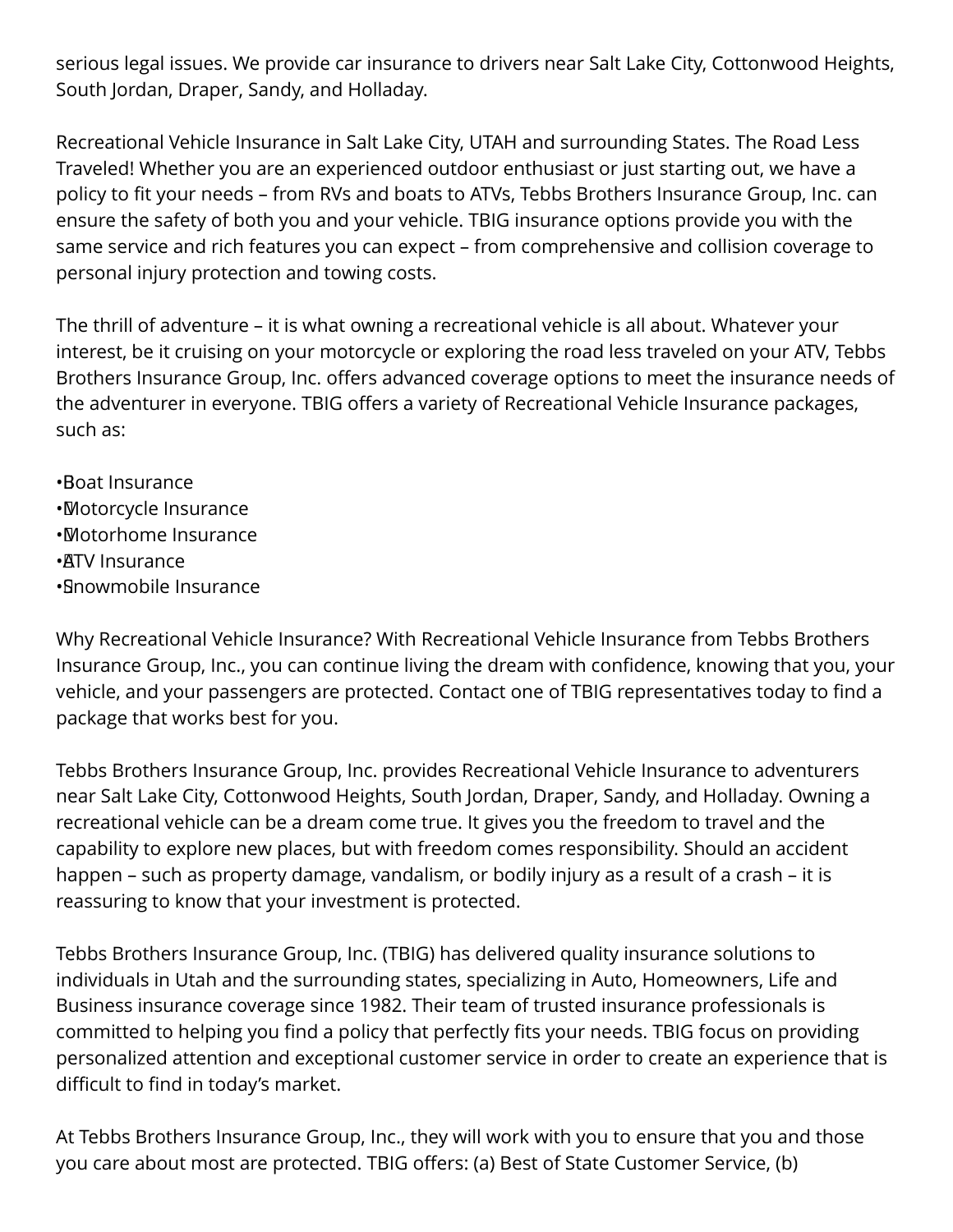serious legal issues. We provide car insurance to drivers near Salt Lake City, Cottonwood Heights, South Jordan, Draper, Sandy, and Holladay.

Recreational Vehicle Insurance in Salt Lake City, UTAH and surrounding States. The Road Less Traveled! Whether you are an experienced outdoor enthusiast or just starting out, we have a policy to fit your needs – from RVs and boats to ATVs, Tebbs Brothers Insurance Group, Inc. can ensure the safety of both you and your vehicle. TBIG insurance options provide you with the same service and rich features you can expect – from comprehensive and collision coverage to personal injury protection and towing costs.

The thrill of adventure – it is what owning a recreational vehicle is all about. Whatever your interest, be it cruising on your motorcycle or exploring the road less traveled on your ATV, Tebbs Brothers Insurance Group, Inc. offers advanced coverage options to meet the insurance needs of the adventurer in everyone. TBIG offers a variety of Recreational Vehicle Insurance packages, such as:

- • Boat Insurance • Motorcycle Insurance • Motorhome Insurance
- •**ATV** Insurance
- • Snowmobile Insurance

Why Recreational Vehicle Insurance? With Recreational Vehicle Insurance from Tebbs Brothers Insurance Group, Inc., you can continue living the dream with confidence, knowing that you, your vehicle, and your passengers are protected. Contact one of TBIG representatives today to find a package that works best for you.

Tebbs Brothers Insurance Group, Inc. provides Recreational Vehicle Insurance to adventurers near Salt Lake City, Cottonwood Heights, South Jordan, Draper, Sandy, and Holladay. Owning a recreational vehicle can be a dream come true. It gives you the freedom to travel and the capability to explore new places, but with freedom comes responsibility. Should an accident happen – such as property damage, vandalism, or bodily injury as a result of a crash – it is reassuring to know that your investment is protected.

Tebbs Brothers Insurance Group, Inc. (TBIG) has delivered quality insurance solutions to individuals in Utah and the surrounding states, specializing in Auto, Homeowners, Life and Business insurance coverage since 1982. Their team of trusted insurance professionals is committed to helping you find a policy that perfectly fits your needs. TBIG focus on providing personalized attention and exceptional customer service in order to create an experience that is difficult to find in today's market.

At Tebbs Brothers Insurance Group, Inc., they will work with you to ensure that you and those you care about most are protected. TBIG offers: (a) Best of State Customer Service, (b)